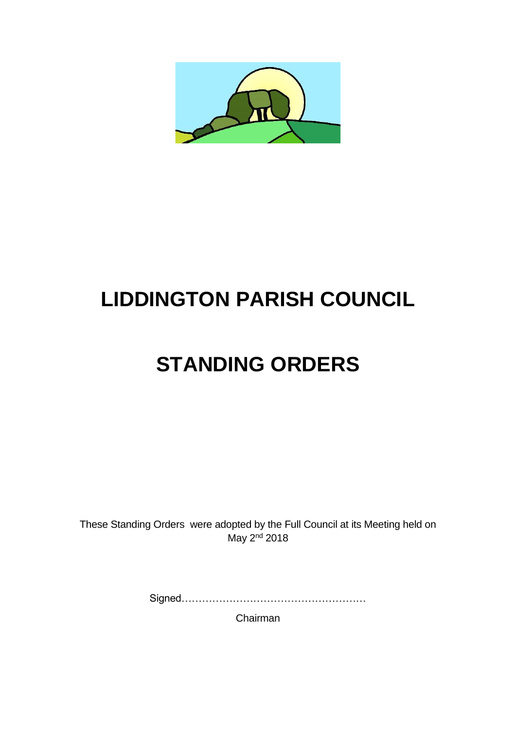

# **LIDDINGTON PARISH COUNCIL**

# **STANDING ORDERS**

These Standing Orders were adopted by the Full Council at its Meeting held on May 2<sup>nd</sup> 2018

Signed………………………………………………

Chairman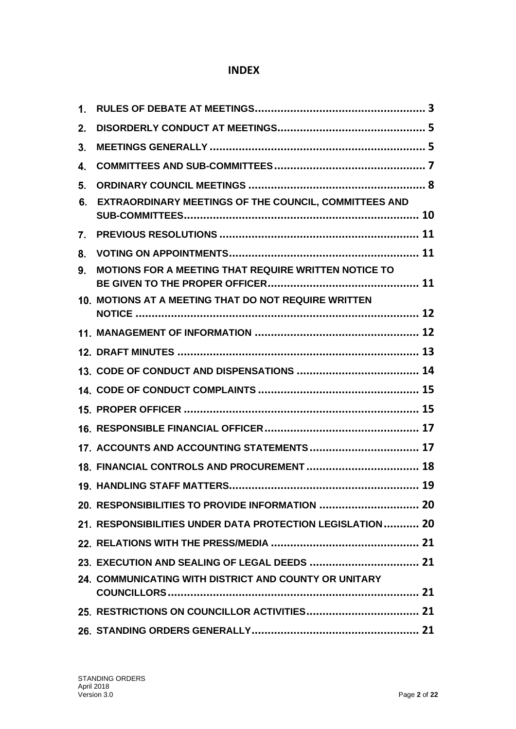# **INDEX**

| $\mathbf{1}$ . |                                                             |  |
|----------------|-------------------------------------------------------------|--|
| 2.             |                                                             |  |
| 3.             |                                                             |  |
| 4.             |                                                             |  |
| 5.             |                                                             |  |
| 6.             | EXTRAORDINARY MEETINGS OF THE COUNCIL, COMMITTEES AND       |  |
| 7.             |                                                             |  |
| 8.             |                                                             |  |
| 9.             | <b>MOTIONS FOR A MEETING THAT REQUIRE WRITTEN NOTICE TO</b> |  |
|                | 10. MOTIONS AT A MEETING THAT DO NOT REQUIRE WRITTEN        |  |
|                |                                                             |  |
|                |                                                             |  |
|                |                                                             |  |
|                |                                                             |  |
|                |                                                             |  |
|                |                                                             |  |
|                | 17. ACCOUNTS AND ACCOUNTING STATEMENTS 17                   |  |
|                |                                                             |  |
|                |                                                             |  |
|                | 20. RESPONSIBILITIES TO PROVIDE INFORMATION  20             |  |
|                | 21. RESPONSIBILITIES UNDER DATA PROTECTION LEGISLATION 20   |  |
|                |                                                             |  |
|                |                                                             |  |
|                | 24. COMMUNICATING WITH DISTRICT AND COUNTY OR UNITARY       |  |
|                |                                                             |  |
|                |                                                             |  |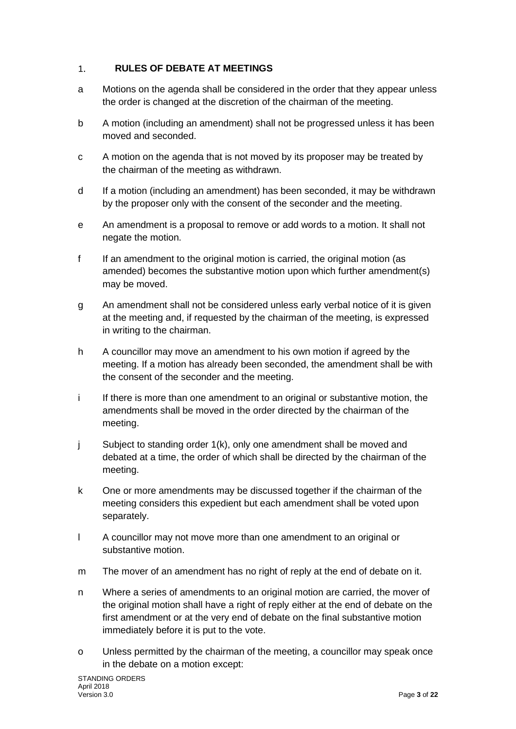#### <span id="page-2-0"></span>**RULES OF DEBATE AT MEETINGS** 1.

- a Motions on the agenda shall be considered in the order that they appear unless the order is changed at the discretion of the chairman of the meeting.
- b A motion (including an amendment) shall not be progressed unless it has been moved and seconded.
- c A motion on the agenda that is not moved by its proposer may be treated by the chairman of the meeting as withdrawn.
- d If a motion (including an amendment) has been seconded, it may be withdrawn by the proposer only with the consent of the seconder and the meeting.
- e An amendment is a proposal to remove or add words to a motion. It shall not negate the motion.
- f If an amendment to the original motion is carried, the original motion (as amended) becomes the substantive motion upon which further amendment(s) may be moved.
- g An amendment shall not be considered unless early verbal notice of it is given at the meeting and, if requested by the chairman of the meeting, is expressed in writing to the chairman.
- h A councillor may move an amendment to his own motion if agreed by the meeting. If a motion has already been seconded, the amendment shall be with the consent of the seconder and the meeting.
- i If there is more than one amendment to an original or substantive motion, the amendments shall be moved in the order directed by the chairman of the meeting.
- j Subject to standing order 1(k), only one amendment shall be moved and debated at a time, the order of which shall be directed by the chairman of the meeting.
- k One or more amendments may be discussed together if the chairman of the meeting considers this expedient but each amendment shall be voted upon separately.
- l A councillor may not move more than one amendment to an original or substantive motion.
- m The mover of an amendment has no right of reply at the end of debate on it.
- n Where a series of amendments to an original motion are carried, the mover of the original motion shall have a right of reply either at the end of debate on the first amendment or at the very end of debate on the final substantive motion immediately before it is put to the vote.
- o Unless permitted by the chairman of the meeting, a councillor may speak once in the debate on a motion except: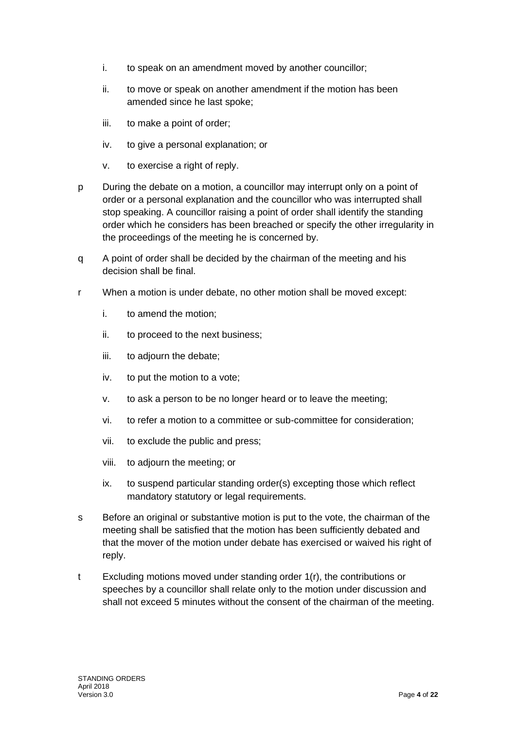- i. to speak on an amendment moved by another councillor;
- ii. to move or speak on another amendment if the motion has been amended since he last spoke;
- iii. to make a point of order;
- iv. to give a personal explanation; or
- v. to exercise a right of reply.
- p During the debate on a motion, a councillor may interrupt only on a point of order or a personal explanation and the councillor who was interrupted shall stop speaking. A councillor raising a point of order shall identify the standing order which he considers has been breached or specify the other irregularity in the proceedings of the meeting he is concerned by.
- q A point of order shall be decided by the chairman of the meeting and his decision shall be final.
- r When a motion is under debate, no other motion shall be moved except:
	- i. to amend the motion;
	- ii. to proceed to the next business;
	- iii. to adjourn the debate;
	- iv. to put the motion to a vote;
	- v. to ask a person to be no longer heard or to leave the meeting;
	- vi. to refer a motion to a committee or sub-committee for consideration;
	- vii. to exclude the public and press;
	- viii. to adjourn the meeting; or
	- ix. to suspend particular standing order(s) excepting those which reflect mandatory statutory or legal requirements.
- s Before an original or substantive motion is put to the vote, the chairman of the meeting shall be satisfied that the motion has been sufficiently debated and that the mover of the motion under debate has exercised or waived his right of reply.
- t Excluding motions moved under standing order 1(r), the contributions or speeches by a councillor shall relate only to the motion under discussion and shall not exceed 5 minutes without the consent of the chairman of the meeting.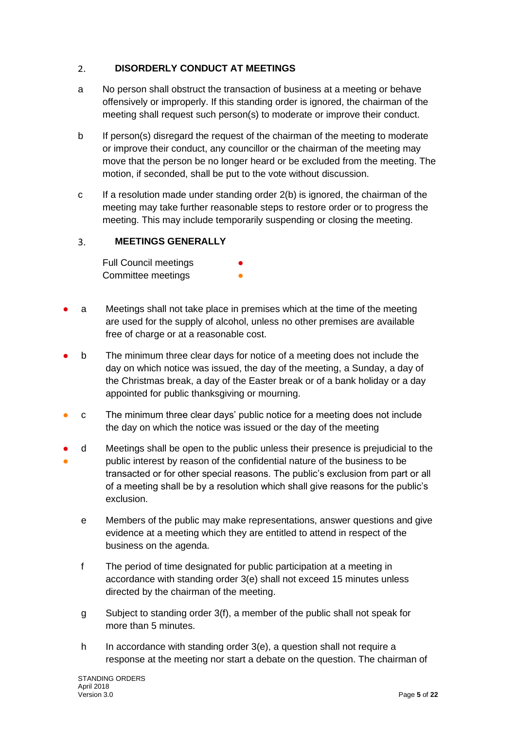#### <span id="page-4-0"></span>**DISORDERLY CONDUCT AT MEETINGS**  $2.$

- a No person shall obstruct the transaction of business at a meeting or behave offensively or improperly. If this standing order is ignored, the chairman of the meeting shall request such person(s) to moderate or improve their conduct.
- b If person(s) disregard the request of the chairman of the meeting to moderate or improve their conduct, any councillor or the chairman of the meeting may move that the person be no longer heard or be excluded from the meeting. The motion, if seconded, shall be put to the vote without discussion.
- c If a resolution made under standing order 2(b) is ignored, the chairman of the meeting may take further reasonable steps to restore order or to progress the meeting. This may include temporarily suspending or closing the meeting.

#### <span id="page-4-1"></span> $3.$ **MEETINGS GENERALLY**

**Full Council meetings** Committee meetings

- a Meetings shall not take place in premises which at the time of the meeting are used for the supply of alcohol, unless no other premises are available free of charge or at a reasonable cost.
- b The minimum three clear days for notice of a meeting does not include the day on which notice was issued, the day of the meeting, a Sunday, a day of the Christmas break, a day of the Easter break or of a bank holiday or a day appointed for public thanksgiving or mourning.
- c The minimum three clear days' public notice for a meeting does not include the day on which the notice was issued or the day of the meeting
- ● d Meetings shall be open to the public unless their presence is prejudicial to the public interest by reason of the confidential nature of the business to be transacted or for other special reasons. The public's exclusion from part or all of a meeting shall be by a resolution which shall give reasons for the public's exclusion.
	- e Members of the public may make representations, answer questions and give evidence at a meeting which they are entitled to attend in respect of the business on the agenda.
	- f The period of time designated for public participation at a meeting in accordance with standing order 3(e) shall not exceed 15 minutes unless directed by the chairman of the meeting.
	- g Subject to standing order 3(f), a member of the public shall not speak for more than 5 minutes.
	- h In accordance with standing order 3(e), a question shall not require a response at the meeting nor start a debate on the question. The chairman of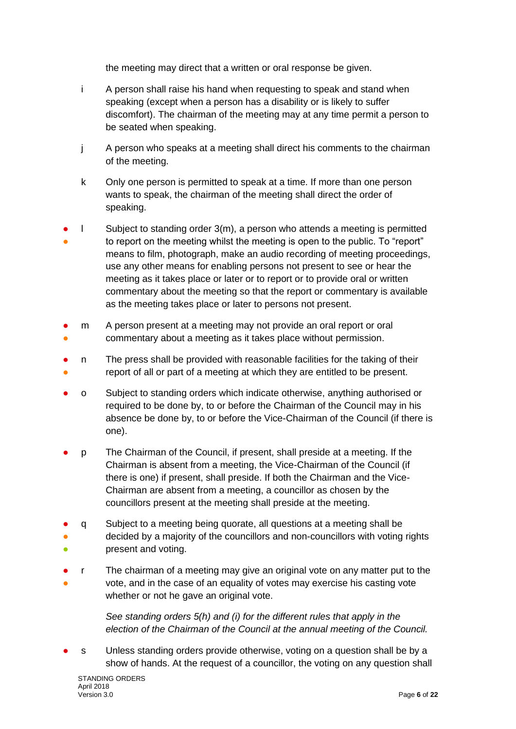the meeting may direct that a written or oral response be given.

- i A person shall raise his hand when requesting to speak and stand when speaking (except when a person has a disability or is likely to suffer discomfort). The chairman of the meeting may at any time permit a person to be seated when speaking.
- j A person who speaks at a meeting shall direct his comments to the chairman of the meeting.
- k Only one person is permitted to speak at a time. If more than one person wants to speak, the chairman of the meeting shall direct the order of speaking.
- ● l Subject to standing order 3(m), a person who attends a meeting is permitted to report on the meeting whilst the meeting is open to the public. To "report" means to film, photograph, make an audio recording of meeting proceedings, use any other means for enabling persons not present to see or hear the meeting as it takes place or later or to report or to provide oral or written commentary about the meeting so that the report or commentary is available as the meeting takes place or later to persons not present.
- ● m A person present at a meeting may not provide an oral report or oral commentary about a meeting as it takes place without permission.
- ● n The press shall be provided with reasonable facilities for the taking of their report of all or part of a meeting at which they are entitled to be present.
- o Subject to standing orders which indicate otherwise, anything authorised or required to be done by, to or before the Chairman of the Council may in his absence be done by, to or before the Vice-Chairman of the Council (if there is one).
- p The Chairman of the Council, if present, shall preside at a meeting. If the Chairman is absent from a meeting, the Vice-Chairman of the Council (if there is one) if present, shall preside. If both the Chairman and the Vice-Chairman are absent from a meeting, a councillor as chosen by the councillors present at the meeting shall preside at the meeting.
- ● ● q Subject to a meeting being quorate, all questions at a meeting shall be decided by a majority of the councillors and non-councillors with voting rights present and voting.
- ● r The chairman of a meeting may give an original vote on any matter put to the vote, and in the case of an equality of votes may exercise his casting vote whether or not he gave an original vote.

*See standing orders 5(h) and (i) for the different rules that apply in the election of the Chairman of the Council at the annual meeting of the Council.*

s Unless standing orders provide otherwise, voting on a question shall be by a show of hands. At the request of a councillor, the voting on any question shall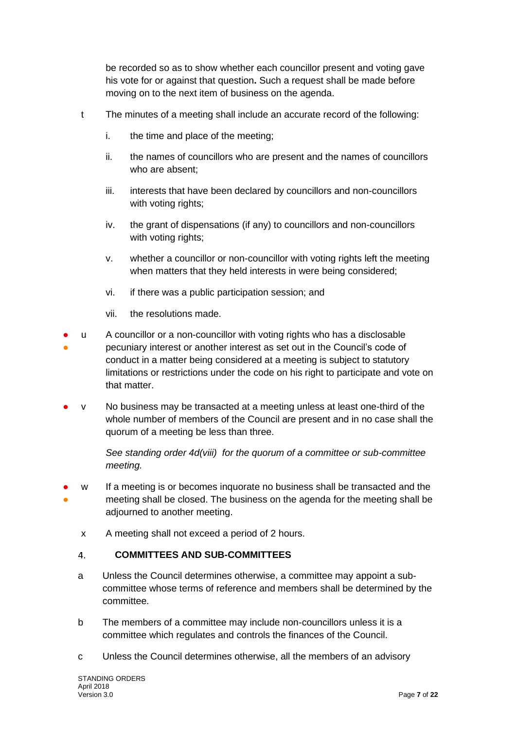be recorded so as to show whether each councillor present and voting gave his vote for or against that question**.** Such a request shall be made before moving on to the next item of business on the agenda.

- t The minutes of a meeting shall include an accurate record of the following:
	- i. the time and place of the meeting;
	- ii. the names of councillors who are present and the names of councillors who are absent;
	- iii. interests that have been declared by councillors and non-councillors with voting rights;
	- iv. the grant of dispensations (if any) to councillors and non-councillors with voting rights;
	- v. whether a councillor or non-councillor with voting rights left the meeting when matters that they held interests in were being considered;
	- vi. if there was a public participation session; and
	- vii. the resolutions made.
- ● u A councillor or a non-councillor with voting rights who has a disclosable pecuniary interest or another interest as set out in the Council's code of conduct in a matter being considered at a meeting is subject to statutory limitations or restrictions under the code on his right to participate and vote on that matter.
- $v$  No business may be transacted at a meeting unless at least one-third of the whole number of members of the Council are present and in no case shall the quorum of a meeting be less than three.

*See standing order 4d(viii) for the quorum of a committee or sub-committee meeting.* 

- ● w If a meeting is or becomes inquorate no business shall be transacted and the meeting shall be closed. The business on the agenda for the meeting shall be adjourned to another meeting.
	- x A meeting shall not exceed a period of 2 hours.

#### <span id="page-6-0"></span> $\overline{4}$ . **COMMITTEES AND SUB-COMMITTEES**

- a Unless the Council determines otherwise, a committee may appoint a subcommittee whose terms of reference and members shall be determined by the committee.
- b The members of a committee may include non-councillors unless it is a committee which regulates and controls the finances of the Council.
- c Unless the Council determines otherwise, all the members of an advisory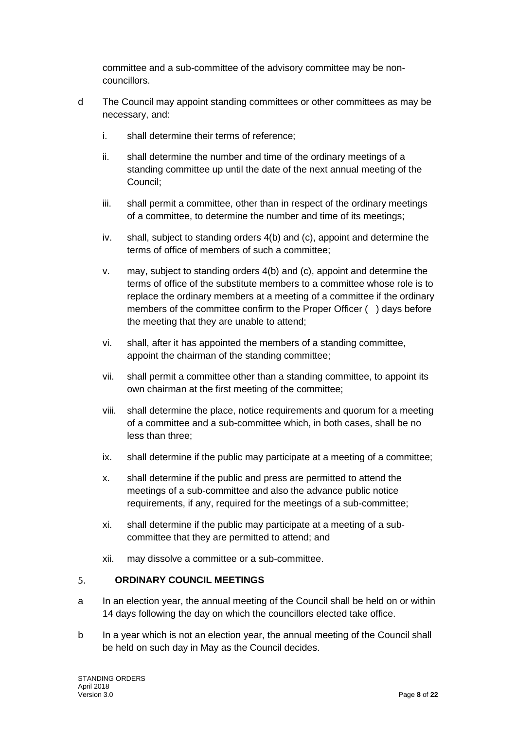committee and a sub-committee of the advisory committee may be noncouncillors.

- d The Council may appoint standing committees or other committees as may be necessary, and:
	- i. shall determine their terms of reference;
	- ii. shall determine the number and time of the ordinary meetings of a standing committee up until the date of the next annual meeting of the Council;
	- iii. shall permit a committee, other than in respect of the ordinary meetings of a committee, to determine the number and time of its meetings;
	- iv. shall, subject to standing orders 4(b) and (c), appoint and determine the terms of office of members of such a committee;
	- v. may, subject to standing orders 4(b) and (c), appoint and determine the terms of office of the substitute members to a committee whose role is to replace the ordinary members at a meeting of a committee if the ordinary members of the committee confirm to the Proper Officer ( ) days before the meeting that they are unable to attend;
	- vi. shall, after it has appointed the members of a standing committee, appoint the chairman of the standing committee;
	- vii. shall permit a committee other than a standing committee, to appoint its own chairman at the first meeting of the committee;
	- viii. shall determine the place, notice requirements and quorum for a meeting of a committee and a sub-committee which, in both cases, shall be no less than three;
	- ix. shall determine if the public may participate at a meeting of a committee;
	- x. shall determine if the public and press are permitted to attend the meetings of a sub-committee and also the advance public notice requirements, if any, required for the meetings of a sub-committee;
	- xi. shall determine if the public may participate at a meeting of a subcommittee that they are permitted to attend; and
	- xii. may dissolve a committee or a sub-committee.

#### <span id="page-7-0"></span> $5.$ **ORDINARY COUNCIL MEETINGS**

- a In an election year, the annual meeting of the Council shall be held on or within 14 days following the day on which the councillors elected take office.
- b In a year which is not an election year, the annual meeting of the Council shall be held on such day in May as the Council decides.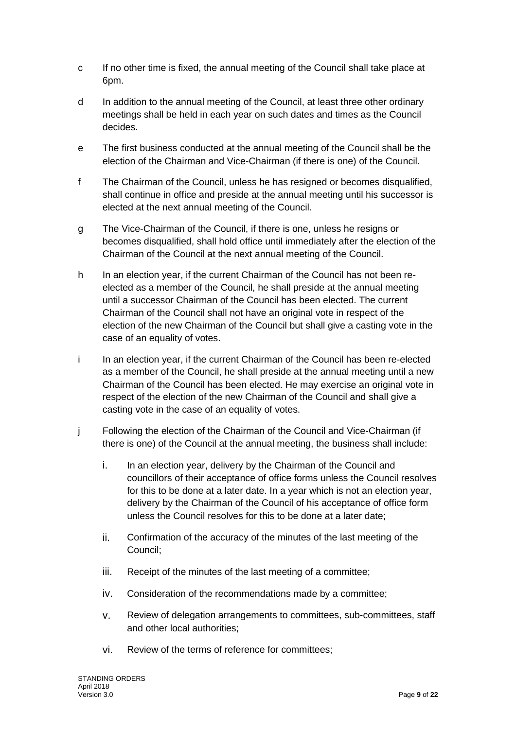- c If no other time is fixed, the annual meeting of the Council shall take place at 6pm.
- d In addition to the annual meeting of the Council, at least three other ordinary meetings shall be held in each year on such dates and times as the Council decides.
- e The first business conducted at the annual meeting of the Council shall be the election of the Chairman and Vice-Chairman (if there is one) of the Council.
- f The Chairman of the Council, unless he has resigned or becomes disqualified, shall continue in office and preside at the annual meeting until his successor is elected at the next annual meeting of the Council.
- g The Vice-Chairman of the Council, if there is one, unless he resigns or becomes disqualified, shall hold office until immediately after the election of the Chairman of the Council at the next annual meeting of the Council.
- h In an election year, if the current Chairman of the Council has not been reelected as a member of the Council, he shall preside at the annual meeting until a successor Chairman of the Council has been elected. The current Chairman of the Council shall not have an original vote in respect of the election of the new Chairman of the Council but shall give a casting vote in the case of an equality of votes.
- i In an election year, if the current Chairman of the Council has been re-elected as a member of the Council, he shall preside at the annual meeting until a new Chairman of the Council has been elected. He may exercise an original vote in respect of the election of the new Chairman of the Council and shall give a casting vote in the case of an equality of votes.
- j Following the election of the Chairman of the Council and Vice-Chairman (if there is one) of the Council at the annual meeting, the business shall include:
	- i. In an election year, delivery by the Chairman of the Council and councillors of their acceptance of office forms unless the Council resolves for this to be done at a later date. In a year which is not an election year, delivery by the Chairman of the Council of his acceptance of office form unless the Council resolves for this to be done at a later date;
	- ii. Confirmation of the accuracy of the minutes of the last meeting of the Council;
	- iii. Receipt of the minutes of the last meeting of a committee;
	- iv. Consideration of the recommendations made by a committee;
	- v. Review of delegation arrangements to committees, sub-committees, staff and other local authorities;
	- vi. Review of the terms of reference for committees;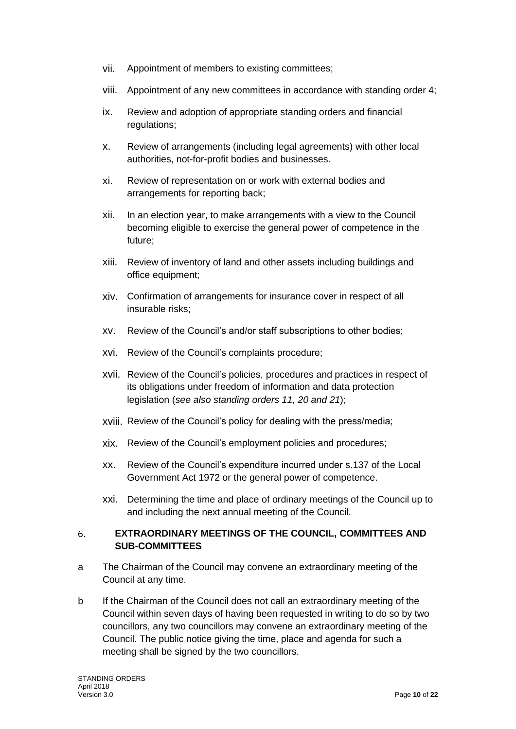- vii. Appointment of members to existing committees;
- viii. Appointment of any new committees in accordance with standing order 4;
- ix. Review and adoption of appropriate standing orders and financial regulations;
- x. Review of arrangements (including legal agreements) with other local authorities, not-for-profit bodies and businesses.
- xi. Review of representation on or work with external bodies and arrangements for reporting back;
- xii. In an election year, to make arrangements with a view to the Council becoming eligible to exercise the general power of competence in the future;
- xiii. Review of inventory of land and other assets including buildings and office equipment;
- xiv. Confirmation of arrangements for insurance cover in respect of all insurable risks;
- xv. Review of the Council's and/or staff subscriptions to other bodies;
- xvi. Review of the Council's complaints procedure;
- xvii. Review of the Council's policies, procedures and practices in respect of its obligations under freedom of information and data protection legislation (*see also standing orders 11, 20 and 21*);
- xviii. Review of the Council's policy for dealing with the press/media;
- xix. Review of the Council's employment policies and procedures;
- xx. Review of the Council's expenditure incurred under s.137 of the Local Government Act 1972 or the general power of competence.
- xxi. Determining the time and place of ordinary meetings of the Council up to and including the next annual meeting of the Council.

### <span id="page-9-0"></span> $6.$ **EXTRAORDINARY MEETINGS OF THE COUNCIL, COMMITTEES AND SUB-COMMITTEES**

- a The Chairman of the Council may convene an extraordinary meeting of the Council at any time.
- b If the Chairman of the Council does not call an extraordinary meeting of the Council within seven days of having been requested in writing to do so by two councillors, any two councillors may convene an extraordinary meeting of the Council. The public notice giving the time, place and agenda for such a meeting shall be signed by the two councillors.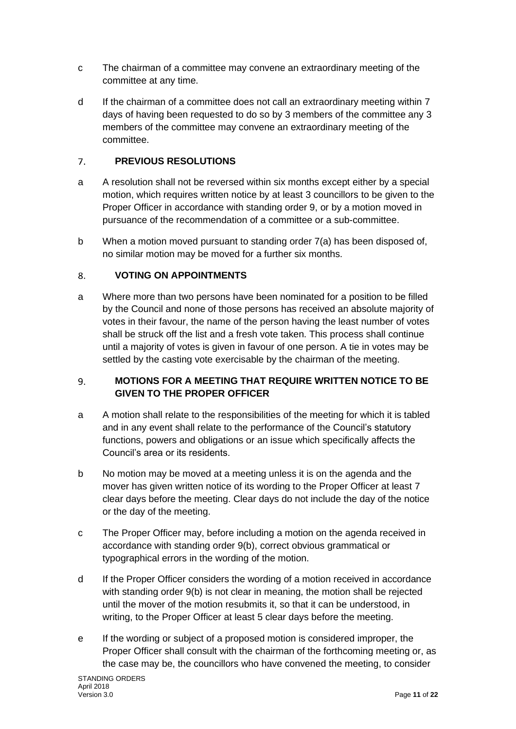- c The chairman of a committee may convene an extraordinary meeting of the committee at any time.
- d If the chairman of a committee does not call an extraordinary meeting within 7 days of having been requested to do so by 3 members of the committee any 3 members of the committee may convene an extraordinary meeting of the committee.

#### <span id="page-10-0"></span> $\overline{7}$ . **PREVIOUS RESOLUTIONS**

- a A resolution shall not be reversed within six months except either by a special motion, which requires written notice by at least 3 councillors to be given to the Proper Officer in accordance with standing order 9, or by a motion moved in pursuance of the recommendation of a committee or a sub-committee.
- b When a motion moved pursuant to standing order 7(a) has been disposed of, no similar motion may be moved for a further six months.

#### <span id="page-10-1"></span> $8<sub>1</sub>$ **VOTING ON APPOINTMENTS**

a Where more than two persons have been nominated for a position to be filled by the Council and none of those persons has received an absolute majority of votes in their favour, the name of the person having the least number of votes shall be struck off the list and a fresh vote taken. This process shall continue until a majority of votes is given in favour of one person. A tie in votes may be settled by the casting vote exercisable by the chairman of the meeting.

### <span id="page-10-2"></span>**MOTIONS FOR A MEETING THAT REQUIRE WRITTEN NOTICE TO BE**   $9<sub>1</sub>$ **GIVEN TO THE PROPER OFFICER**

- a A motion shall relate to the responsibilities of the meeting for which it is tabled and in any event shall relate to the performance of the Council's statutory functions, powers and obligations or an issue which specifically affects the Council's area or its residents.
- b No motion may be moved at a meeting unless it is on the agenda and the mover has given written notice of its wording to the Proper Officer at least 7 clear days before the meeting. Clear days do not include the day of the notice or the day of the meeting.
- c The Proper Officer may, before including a motion on the agenda received in accordance with standing order 9(b), correct obvious grammatical or typographical errors in the wording of the motion.
- d If the Proper Officer considers the wording of a motion received in accordance with standing order 9(b) is not clear in meaning, the motion shall be rejected until the mover of the motion resubmits it, so that it can be understood, in writing, to the Proper Officer at least 5 clear days before the meeting.
- e If the wording or subject of a proposed motion is considered improper, the Proper Officer shall consult with the chairman of the forthcoming meeting or, as the case may be, the councillors who have convened the meeting, to consider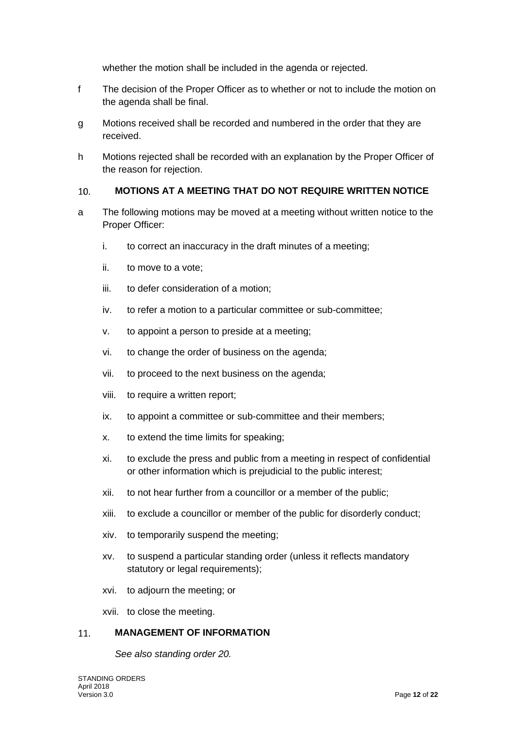whether the motion shall be included in the agenda or rejected.

- f The decision of the Proper Officer as to whether or not to include the motion on the agenda shall be final.
- g Motions received shall be recorded and numbered in the order that they are received.
- h Motions rejected shall be recorded with an explanation by the Proper Officer of the reason for rejection.

#### <span id="page-11-0"></span>**MOTIONS AT A MEETING THAT DO NOT REQUIRE WRITTEN NOTICE**   $10.$

- a The following motions may be moved at a meeting without written notice to the Proper Officer:
	- i. to correct an inaccuracy in the draft minutes of a meeting;
	- ii. to move to a vote;
	- iii. to defer consideration of a motion;
	- iv. to refer a motion to a particular committee or sub-committee:
	- v. to appoint a person to preside at a meeting;
	- vi. to change the order of business on the agenda;
	- vii. to proceed to the next business on the agenda;
	- viii. to require a written report;
	- ix. to appoint a committee or sub-committee and their members;
	- x. to extend the time limits for speaking;
	- xi. to exclude the press and public from a meeting in respect of confidential or other information which is prejudicial to the public interest;
	- xii. to not hear further from a councillor or a member of the public;
	- xiii. to exclude a councillor or member of the public for disorderly conduct;
	- xiv. to temporarily suspend the meeting;
	- xv. to suspend a particular standing order (unless it reflects mandatory statutory or legal requirements);
	- xvi. to adjourn the meeting; or

xvii. to close the meeting.

#### <span id="page-11-1"></span>**MANAGEMENT OF INFORMATION**  11.

*See also standing order 20.*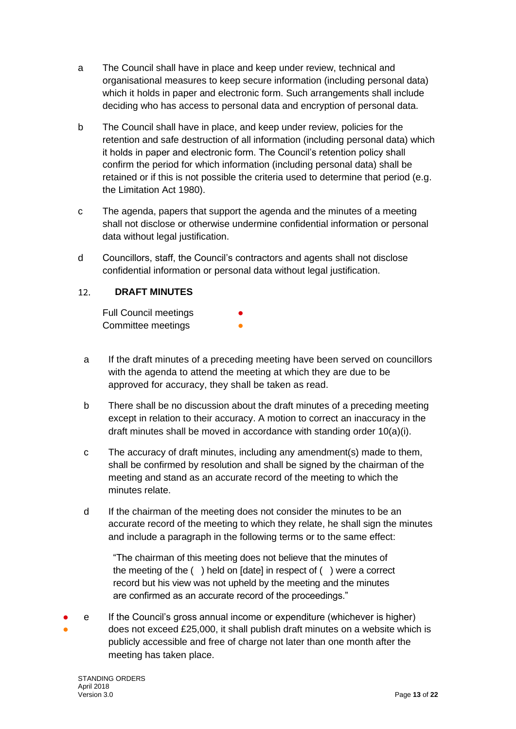- a The Council shall have in place and keep under review, technical and organisational measures to keep secure information (including personal data) which it holds in paper and electronic form. Such arrangements shall include deciding who has access to personal data and encryption of personal data.
- b The Council shall have in place, and keep under review, policies for the retention and safe destruction of all information (including personal data) which it holds in paper and electronic form. The Council's retention policy shall confirm the period for which information (including personal data) shall be retained or if this is not possible the criteria used to determine that period (e.g. the Limitation Act 1980).
- c The agenda, papers that support the agenda and the minutes of a meeting shall not disclose or otherwise undermine confidential information or personal data without legal justification.
- d Councillors, staff, the Council's contractors and agents shall not disclose confidential information or personal data without legal justification.

#### <span id="page-12-0"></span> $12<sub>1</sub>$ **DRAFT MINUTES**

Full Council meetings Committee meetings

- a If the draft minutes of a preceding meeting have been served on councillors with the agenda to attend the meeting at which they are due to be approved for accuracy, they shall be taken as read.
- b There shall be no discussion about the draft minutes of a preceding meeting except in relation to their accuracy. A motion to correct an inaccuracy in the draft minutes shall be moved in accordance with standing order 10(a)(i).
- c The accuracy of draft minutes, including any amendment(s) made to them, shall be confirmed by resolution and shall be signed by the chairman of the meeting and stand as an accurate record of the meeting to which the minutes relate.
- d If the chairman of the meeting does not consider the minutes to be an accurate record of the meeting to which they relate, he shall sign the minutes and include a paragraph in the following terms or to the same effect:

"The chairman of this meeting does not believe that the minutes of the meeting of the ( ) held on [date] in respect of ( ) were a correct record but his view was not upheld by the meeting and the minutes are confirmed as an accurate record of the proceedings."

● ● e If the Council's gross annual income or expenditure (whichever is higher) does not exceed £25,000, it shall publish draft minutes on a website which is publicly accessible and free of charge not later than one month after the meeting has taken place.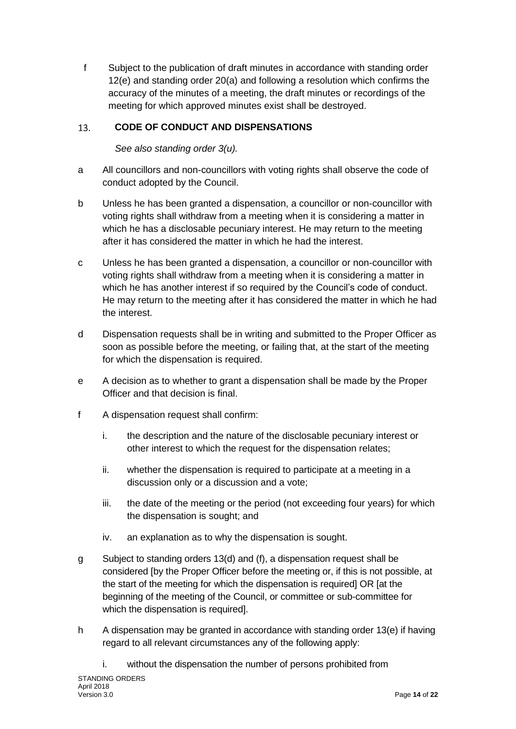f Subject to the publication of draft minutes in accordance with standing order 12(e) and standing order 20(a) and following a resolution which confirms the accuracy of the minutes of a meeting, the draft minutes or recordings of the meeting for which approved minutes exist shall be destroyed.

#### <span id="page-13-0"></span>13. **CODE OF CONDUCT AND DISPENSATIONS**

*See also standing order 3(u).*

- a All councillors and non-councillors with voting rights shall observe the code of conduct adopted by the Council.
- b Unless he has been granted a dispensation, a councillor or non-councillor with voting rights shall withdraw from a meeting when it is considering a matter in which he has a disclosable pecuniary interest. He may return to the meeting after it has considered the matter in which he had the interest.
- c Unless he has been granted a dispensation, a councillor or non-councillor with voting rights shall withdraw from a meeting when it is considering a matter in which he has another interest if so required by the Council's code of conduct. He may return to the meeting after it has considered the matter in which he had the interest.
- d Dispensation requests shall be in writing and submitted to the Proper Officer as soon as possible before the meeting, or failing that, at the start of the meeting for which the dispensation is required.
- e A decision as to whether to grant a dispensation shall be made by the Proper Officer and that decision is final.
- f A dispensation request shall confirm:
	- i. the description and the nature of the disclosable pecuniary interest or other interest to which the request for the dispensation relates;
	- ii. whether the dispensation is required to participate at a meeting in a discussion only or a discussion and a vote;
	- iii. the date of the meeting or the period (not exceeding four years) for which the dispensation is sought; and
	- iv. an explanation as to why the dispensation is sought.
- g Subject to standing orders 13(d) and (f), a dispensation request shall be considered [by the Proper Officer before the meeting or, if this is not possible, at the start of the meeting for which the dispensation is required] OR [at the beginning of the meeting of the Council, or committee or sub-committee for which the dispensation is required].
- h A dispensation may be granted in accordance with standing order 13(e) if having regard to all relevant circumstances any of the following apply:

i. without the dispensation the number of persons prohibited from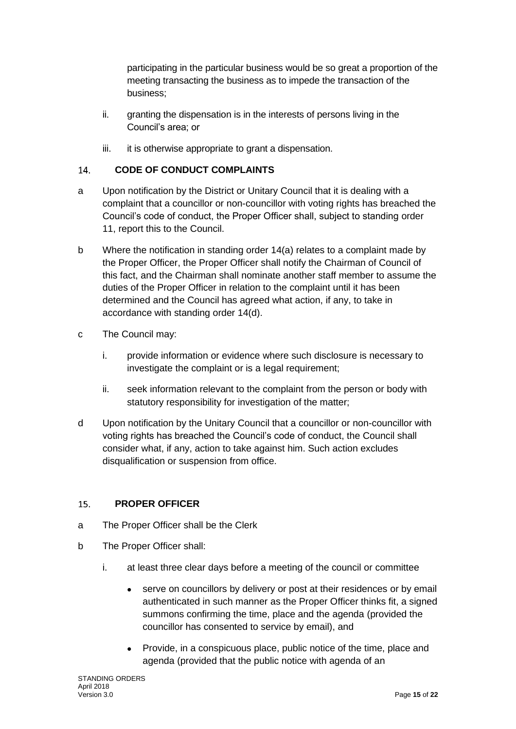participating in the particular business would be so great a proportion of the meeting transacting the business as to impede the transaction of the business;

- ii. granting the dispensation is in the interests of persons living in the Council's area; or
- iii. it is otherwise appropriate to grant a dispensation.

#### <span id="page-14-0"></span> $14.$ **CODE OF CONDUCT COMPLAINTS**

- a Upon notification by the District or Unitary Council that it is dealing with a complaint that a councillor or non-councillor with voting rights has breached the Council's code of conduct, the Proper Officer shall, subject to standing order 11, report this to the Council.
- b Where the notification in standing order 14(a) relates to a complaint made by the Proper Officer, the Proper Officer shall notify the Chairman of Council of this fact, and the Chairman shall nominate another staff member to assume the duties of the Proper Officer in relation to the complaint until it has been determined and the Council has agreed what action, if any, to take in accordance with standing order 14(d).
- c The Council may:
	- i. provide information or evidence where such disclosure is necessary to investigate the complaint or is a legal requirement:
	- ii. seek information relevant to the complaint from the person or body with statutory responsibility for investigation of the matter;
- d Upon notification by the Unitary Council that a councillor or non-councillor with voting rights has breached the Council's code of conduct, the Council shall consider what, if any, action to take against him. Such action excludes disqualification or suspension from office.

#### <span id="page-14-1"></span>15. **PROPER OFFICER**

- a The Proper Officer shall be the Clerk
- b The Proper Officer shall:
	- i. at least three clear days before a meeting of the council or committee
		- serve on councillors by delivery or post at their residences or by email authenticated in such manner as the Proper Officer thinks fit, a signed summons confirming the time, place and the agenda (provided the councillor has consented to service by email), and
		- Provide, in a conspicuous place, public notice of the time, place and agenda (provided that the public notice with agenda of an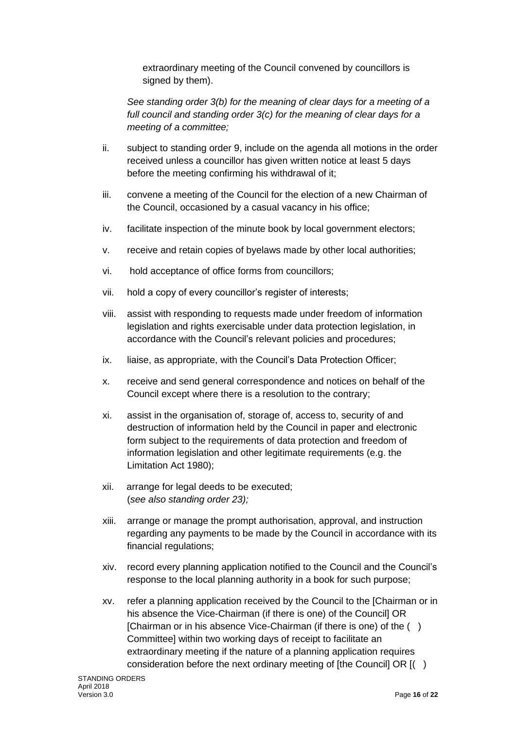extraordinary meeting of the Council convened by councillors is signed by them).

*See standing order 3(b) for the meaning of clear days for a meeting of a full council and standing order 3(c) for the meaning of clear days for a meeting of a committee;*

- ii. subject to standing order 9, include on the agenda all motions in the order received unless a councillor has given written notice at least 5 days before the meeting confirming his withdrawal of it;
- iii. convene a meeting of the Council for the election of a new Chairman of the Council, occasioned by a casual vacancy in his office;
- iv. facilitate inspection of the minute book by local government electors;
- v. receive and retain copies of byelaws made by other local authorities;
- vi. hold acceptance of office forms from councillors;
- vii. hold a copy of every councillor's register of interests;
- viii. assist with responding to requests made under freedom of information legislation and rights exercisable under data protection legislation, in accordance with the Council's relevant policies and procedures;
- ix. liaise, as appropriate, with the Council's Data Protection Officer;
- x. receive and send general correspondence and notices on behalf of the Council except where there is a resolution to the contrary;
- xi. assist in the organisation of, storage of, access to, security of and destruction of information held by the Council in paper and electronic form subject to the requirements of data protection and freedom of information legislation and other legitimate requirements (e.g. the Limitation Act 1980);
- xii. arrange for legal deeds to be executed; (*see also standing order 23);*
- xiii. arrange or manage the prompt authorisation, approval, and instruction regarding any payments to be made by the Council in accordance with its financial regulations;
- xiv. record every planning application notified to the Council and the Council's response to the local planning authority in a book for such purpose;
- xv. refer a planning application received by the Council to the [Chairman or in his absence the Vice-Chairman (if there is one) of the Council] OR [Chairman or in his absence Vice-Chairman (if there is one) of the ( ) Committee] within two working days of receipt to facilitate an extraordinary meeting if the nature of a planning application requires consideration before the next ordinary meeting of [the Council] OR [( )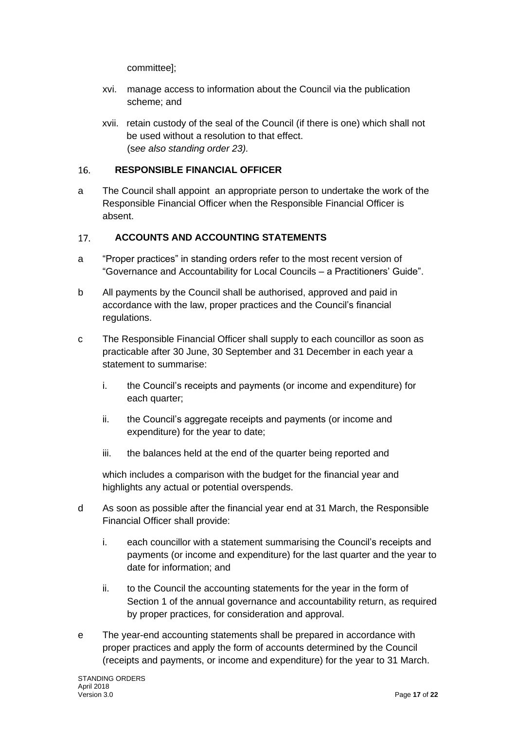committee];

- xvi. manage access to information about the Council via the publication scheme; and
- xvii. retain custody of the seal of the Council (if there is one) which shall not be used without a resolution to that effect. (s*ee also standing order 23).*

#### <span id="page-16-0"></span>16. **RESPONSIBLE FINANCIAL OFFICER**

a The Council shall appoint an appropriate person to undertake the work of the Responsible Financial Officer when the Responsible Financial Officer is absent.

#### <span id="page-16-1"></span>**ACCOUNTS AND ACCOUNTING STATEMENTS**  $17.$

- a "Proper practices" in standing orders refer to the most recent version of "Governance and Accountability for Local Councils – a Practitioners' Guide".
- b All payments by the Council shall be authorised, approved and paid in accordance with the law, proper practices and the Council's financial regulations.
- c The Responsible Financial Officer shall supply to each councillor as soon as practicable after 30 June, 30 September and 31 December in each year a statement to summarise:
	- i. the Council's receipts and payments (or income and expenditure) for each quarter;
	- ii. the Council's aggregate receipts and payments (or income and expenditure) for the year to date;
	- iii. the balances held at the end of the quarter being reported and

which includes a comparison with the budget for the financial year and highlights any actual or potential overspends.

- d As soon as possible after the financial year end at 31 March, the Responsible Financial Officer shall provide:
	- i. each councillor with a statement summarising the Council's receipts and payments (or income and expenditure) for the last quarter and the year to date for information; and
	- ii. to the Council the accounting statements for the year in the form of Section 1 of the annual governance and accountability return, as required by proper practices, for consideration and approval.
- e The year-end accounting statements shall be prepared in accordance with proper practices and apply the form of accounts determined by the Council (receipts and payments, or income and expenditure) for the year to 31 March.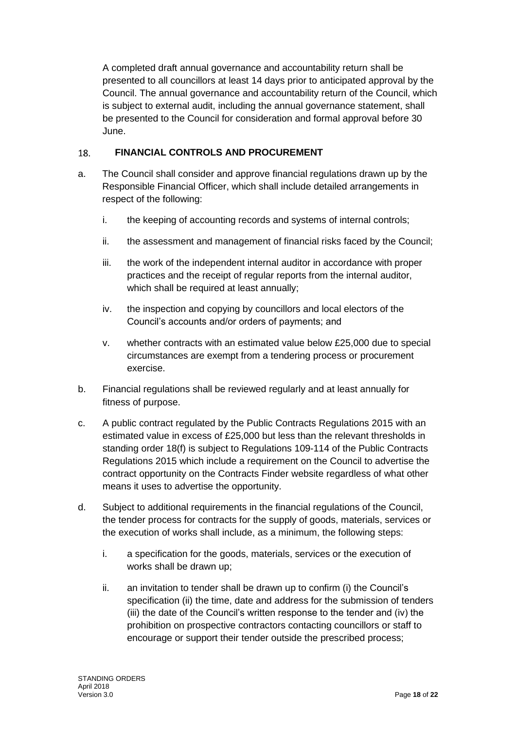A completed draft annual governance and accountability return shall be presented to all councillors at least 14 days prior to anticipated approval by the Council. The annual governance and accountability return of the Council, which is subject to external audit, including the annual governance statement, shall be presented to the Council for consideration and formal approval before 30 June.

#### <span id="page-17-0"></span>**FINANCIAL CONTROLS AND PROCUREMENT** 18.

- a. The Council shall consider and approve financial regulations drawn up by the Responsible Financial Officer, which shall include detailed arrangements in respect of the following:
	- i. the keeping of accounting records and systems of internal controls;
	- ii. the assessment and management of financial risks faced by the Council;
	- iii. the work of the independent internal auditor in accordance with proper practices and the receipt of regular reports from the internal auditor, which shall be required at least annually;
	- iv. the inspection and copying by councillors and local electors of the Council's accounts and/or orders of payments; and
	- v. whether contracts with an estimated value below £25,000 due to special circumstances are exempt from a tendering process or procurement exercise.
- b. Financial regulations shall be reviewed regularly and at least annually for fitness of purpose.
- c. A public contract regulated by the Public Contracts Regulations 2015 with an estimated value in excess of £25,000 but less than the relevant thresholds in standing order 18(f) is subject to Regulations 109-114 of the Public Contracts Regulations 2015 which include a requirement on the Council to advertise the contract opportunity on the Contracts Finder website regardless of what other means it uses to advertise the opportunity.
- d. Subject to additional requirements in the financial regulations of the Council, the tender process for contracts for the supply of goods, materials, services or the execution of works shall include, as a minimum, the following steps:
	- i. a specification for the goods, materials, services or the execution of works shall be drawn up;
	- ii. an invitation to tender shall be drawn up to confirm (i) the Council's specification (ii) the time, date and address for the submission of tenders (iii) the date of the Council's written response to the tender and (iv) the prohibition on prospective contractors contacting councillors or staff to encourage or support their tender outside the prescribed process;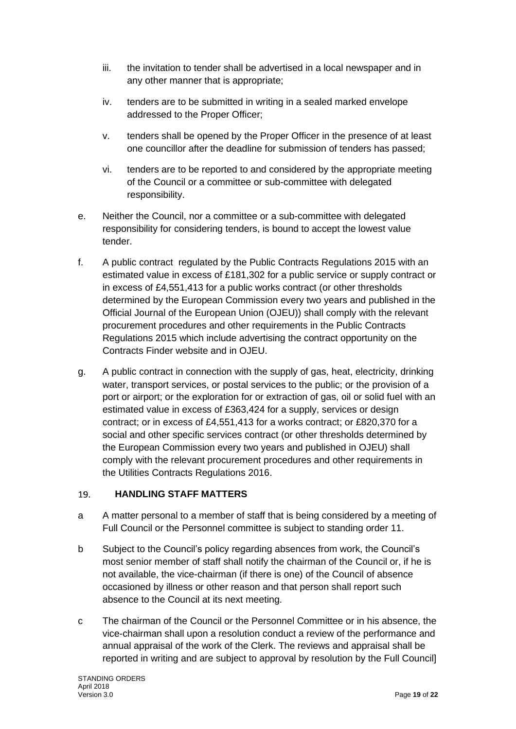- iii. the invitation to tender shall be advertised in a local newspaper and in any other manner that is appropriate;
- iv. tenders are to be submitted in writing in a sealed marked envelope addressed to the Proper Officer;
- v. tenders shall be opened by the Proper Officer in the presence of at least one councillor after the deadline for submission of tenders has passed;
- vi. tenders are to be reported to and considered by the appropriate meeting of the Council or a committee or sub-committee with delegated responsibility.
- e. Neither the Council, nor a committee or a sub-committee with delegated responsibility for considering tenders, is bound to accept the lowest value tender.
- f. A public contract regulated by the Public Contracts Regulations 2015 with an estimated value in excess of £181,302 for a public service or supply contract or in excess of £4,551,413 for a public works contract (or other thresholds determined by the European Commission every two years and published in the Official Journal of the European Union (OJEU)) shall comply with the relevant procurement procedures and other requirements in the Public Contracts Regulations 2015 which include advertising the contract opportunity on the Contracts Finder website and in OJEU.
- g. A public contract in connection with the supply of gas, heat, electricity, drinking water, transport services, or postal services to the public; or the provision of a port or airport; or the exploration for or extraction of gas, oil or solid fuel with an estimated value in excess of £363,424 for a supply, services or design contract; or in excess of £4,551,413 for a works contract; or £820,370 for a social and other specific services contract (or other thresholds determined by the European Commission every two years and published in OJEU) shall comply with the relevant procurement procedures and other requirements in the Utilities Contracts Regulations 2016.

#### <span id="page-18-0"></span>19. **HANDLING STAFF MATTERS**

- a A matter personal to a member of staff that is being considered by a meeting of Full Council or the Personnel committee is subject to standing order 11.
- b Subject to the Council's policy regarding absences from work, the Council's most senior member of staff shall notify the chairman of the Council or, if he is not available, the vice-chairman (if there is one) of the Council of absence occasioned by illness or other reason and that person shall report such absence to the Council at its next meeting.
- c The chairman of the Council or the Personnel Committee or in his absence, the vice-chairman shall upon a resolution conduct a review of the performance and annual appraisal of the work of the Clerk. The reviews and appraisal shall be reported in writing and are subject to approval by resolution by the Full Council]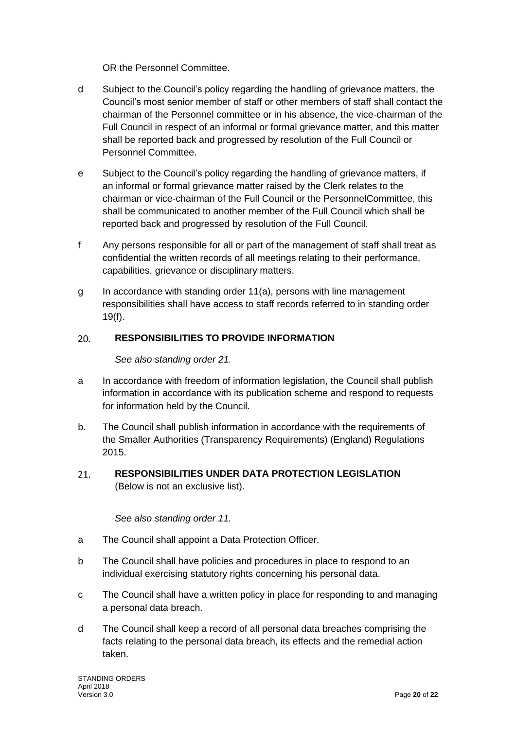OR the Personnel Committee.

- d Subject to the Council's policy regarding the handling of grievance matters, the Council's most senior member of staff or other members of staff shall contact the chairman of the Personnel committee or in his absence, the vice-chairman of the Full Council in respect of an informal or formal grievance matter, and this matter shall be reported back and progressed by resolution of the Full Council or Personnel Committee.
- e Subject to the Council's policy regarding the handling of grievance matters, if an informal or formal grievance matter raised by the Clerk relates to the chairman or vice-chairman of the Full Council or the PersonnelCommittee, this shall be communicated to another member of the Full Council which shall be reported back and progressed by resolution of the Full Council.
- f Any persons responsible for all or part of the management of staff shall treat as confidential the written records of all meetings relating to their performance, capabilities, grievance or disciplinary matters.
- g In accordance with standing order 11(a), persons with line management responsibilities shall have access to staff records referred to in standing order 19(f).

#### <span id="page-19-0"></span> $20.$ **RESPONSIBILITIES TO PROVIDE INFORMATION**

*See also standing order 21.*

- a In accordance with freedom of information legislation, the Council shall publish information in accordance with its publication scheme and respond to requests for information held by the Council.
- b. The Council shall publish information in accordance with the requirements of the Smaller Authorities (Transparency Requirements) (England) Regulations 2015.
- <span id="page-19-1"></span>**RESPONSIBILITIES UNDER DATA PROTECTION LEGISLATION**  21. (Below is not an exclusive list).

## *See also standing order 11.*

- a The Council shall appoint a Data Protection Officer.
- b The Council shall have policies and procedures in place to respond to an individual exercising statutory rights concerning his personal data.
- c The Council shall have a written policy in place for responding to and managing a personal data breach.
- d The Council shall keep a record of all personal data breaches comprising the facts relating to the personal data breach, its effects and the remedial action taken.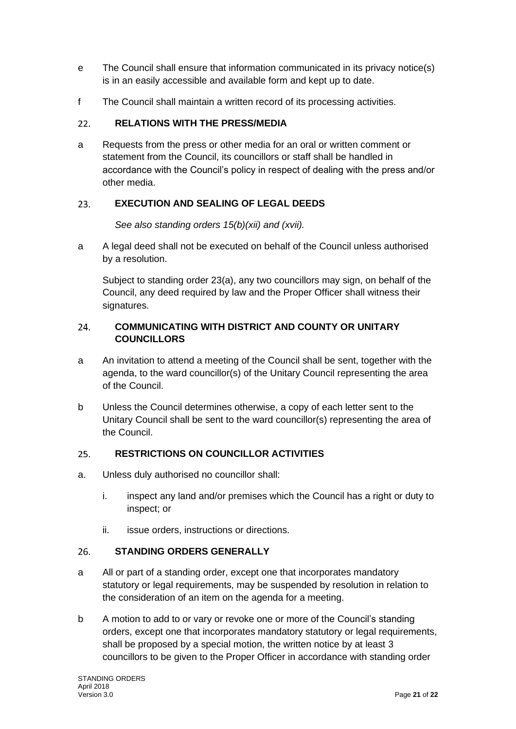- e The Council shall ensure that information communicated in its privacy notice(s) is in an easily accessible and available form and kept up to date.
- f The Council shall maintain a written record of its processing activities.

#### <span id="page-20-0"></span>**RELATIONS WITH THE PRESS/MEDIA**  $22.$

a Requests from the press or other media for an oral or written comment or statement from the Council, its councillors or staff shall be handled in accordance with the Council's policy in respect of dealing with the press and/or other media.

#### <span id="page-20-1"></span>**EXECUTION AND SEALING OF LEGAL DEEDS**  23.

*See also standing orders 15(b)(xii) and (xvii).*

a A legal deed shall not be executed on behalf of the Council unless authorised by a resolution.

Subject to standing order 23(a), any two councillors may sign, on behalf of the Council, any deed required by law and the Proper Officer shall witness their signatures.

## <span id="page-20-2"></span>**COMMUNICATING WITH DISTRICT AND COUNTY OR UNITARY**   $24$ **COUNCILLORS**

- a An invitation to attend a meeting of the Council shall be sent, together with the agenda, to the ward councillor(s) of the Unitary Council representing the area of the Council.
- b Unless the Council determines otherwise, a copy of each letter sent to the Unitary Council shall be sent to the ward councillor(s) representing the area of the Council.

#### <span id="page-20-3"></span> $25.$ **RESTRICTIONS ON COUNCILLOR ACTIVITIES**

- a. Unless duly authorised no councillor shall:
	- i. inspect any land and/or premises which the Council has a right or duty to inspect; or
	- ii. issue orders, instructions or directions.

#### <span id="page-20-4"></span>**STANDING ORDERS GENERALLY** 26.

- a All or part of a standing order, except one that incorporates mandatory statutory or legal requirements, may be suspended by resolution in relation to the consideration of an item on the agenda for a meeting.
- b A motion to add to or vary or revoke one or more of the Council's standing orders, except one that incorporates mandatory statutory or legal requirements, shall be proposed by a special motion, the written notice by at least 3 councillors to be given to the Proper Officer in accordance with standing order